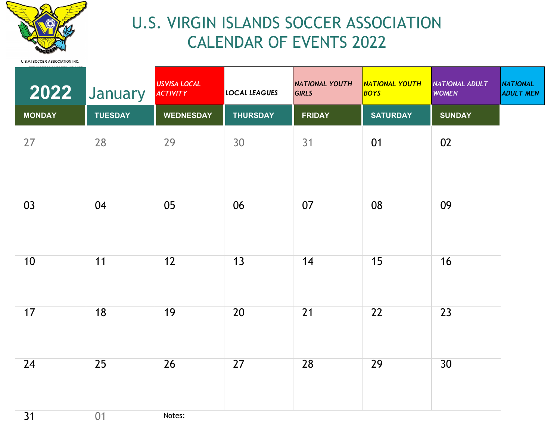

## U.S. VIRGIN ISLANDS SOCCER ASSOCIATION CALENDAR OF EVENTS 2022

| 2022          | January        | <b>USVISA LOCAL</b><br><b>ACTIVITY</b> | <b>LOCAL LEAGUES</b> | <b>NATIONAL YOUTH</b><br><b>GIRLS</b> | NATIONAL YOUTH<br>BOYS | <b>NATIONAL ADULT</b><br><b>WOMEN</b> | <b>NATIONAL</b><br><b>ADULT MEN</b> |
|---------------|----------------|----------------------------------------|----------------------|---------------------------------------|------------------------|---------------------------------------|-------------------------------------|
| <b>MONDAY</b> | <b>TUESDAY</b> | <b>WEDNESDAY</b>                       | <b>THURSDAY</b>      | <b>FRIDAY</b>                         | <b>SATURDAY</b>        | <b>SUNDAY</b>                         |                                     |
| 27            | 28             | 29                                     | 30                   | 31                                    | 01                     | 02                                    |                                     |
| 03            | 04             | 05                                     | 06                   | 07                                    | 08                     | 09                                    |                                     |
| 10            | 11             | 12                                     | 13                   | 14                                    | 15                     | 16                                    |                                     |
| 17            | 18             | 19                                     | 20                   | 21                                    | 22                     | 23                                    |                                     |
| 24            | 25             | 26                                     | 27                   | 28                                    | 29                     | 30                                    |                                     |
| 31            | 01             | Notes:                                 |                      |                                       |                        |                                       |                                     |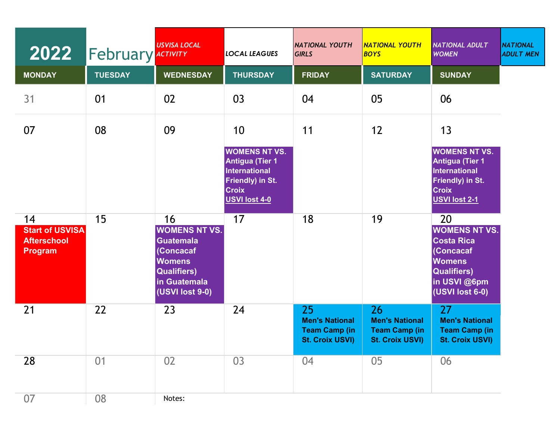| 2022                                                                 | <b>February</b> ACTIVITY | <b>USVISA LOCAL</b>                                                                                                                   | LOCAL LEAGUES                                                                                                                      | <b>NATIONAL YOUTH</b><br><b>GIRLS</b>                                         | <b>NATIONAL YOUTH</b><br><b>BOYS</b>                                          | <b>NATIONAL ADULT</b><br><b>WOMEN</b>                                                                                                  | <b>NATIONAL</b><br><b>ADULT MEN</b> |
|----------------------------------------------------------------------|--------------------------|---------------------------------------------------------------------------------------------------------------------------------------|------------------------------------------------------------------------------------------------------------------------------------|-------------------------------------------------------------------------------|-------------------------------------------------------------------------------|----------------------------------------------------------------------------------------------------------------------------------------|-------------------------------------|
| <b>MONDAY</b>                                                        | <b>TUESDAY</b>           | <b>WEDNESDAY</b>                                                                                                                      | <b>THURSDAY</b>                                                                                                                    | <b>FRIDAY</b>                                                                 | <b>SATURDAY</b>                                                               | <b>SUNDAY</b>                                                                                                                          |                                     |
| 31                                                                   | 01                       | 02                                                                                                                                    | 03                                                                                                                                 | 04                                                                            | 05                                                                            | 06                                                                                                                                     |                                     |
| 07                                                                   | 08                       | 09                                                                                                                                    | 10                                                                                                                                 | 11                                                                            | 12                                                                            | 13                                                                                                                                     |                                     |
|                                                                      |                          |                                                                                                                                       | <b>WOMENS NT VS.</b><br><b>Antigua (Tier 1</b><br><b>International</b><br><b>Friendly) in St.</b><br><b>Croix</b><br>USVI lost 4-0 |                                                                               |                                                                               | <b>WOMENS NT VS.</b><br><b>Antigua (Tier 1</b><br><b>International</b><br>Friendly) in St.<br><b>Croix</b><br><b>USVI lost 2-1</b>     |                                     |
| 14<br><b>Start of USVISA</b><br><b>Afterschool</b><br><b>Program</b> | 15                       | 16<br><b>WOMENS NT VS.</b><br><b>Guatemala</b><br>(Concacaf<br><b>Womens</b><br><b>Qualifiers)</b><br>in Guatemala<br>(USVI lost 9-0) | 17                                                                                                                                 | 18                                                                            | 19                                                                            | 20<br><b>WOMENS NT VS.</b><br><b>Costa Rica</b><br>(Concacaf<br><b>Womens</b><br><b>Qualifiers)</b><br>in USVI @6pm<br>(USVI lost 6-0) |                                     |
| 21                                                                   | 22                       | 23                                                                                                                                    | 24                                                                                                                                 | 25<br><b>Men's National</b><br><b>Team Camp (in</b><br><b>St. Croix USVI)</b> | 26<br><b>Men's National</b><br><b>Team Camp (in</b><br><b>St. Croix USVI)</b> | 27<br><b>Men's National</b><br><b>Team Camp (in</b><br><b>St. Croix USVI)</b>                                                          |                                     |
| 28                                                                   | 01                       | 02                                                                                                                                    | 03                                                                                                                                 | 04                                                                            | 05                                                                            | 06                                                                                                                                     |                                     |
| 07                                                                   | 08                       | Notes:                                                                                                                                |                                                                                                                                    |                                                                               |                                                                               |                                                                                                                                        |                                     |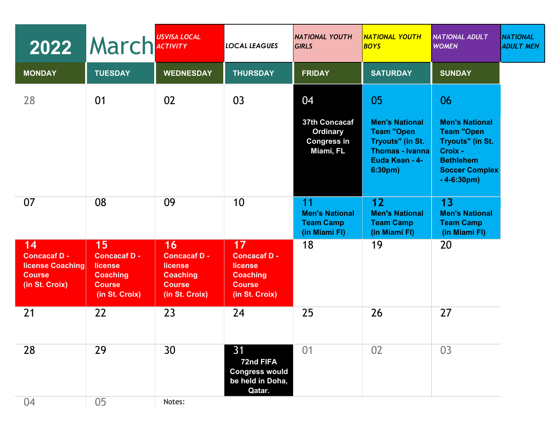| 2022                                                                             | <b>March</b> ACTIVITY                                                                      | <b>USVISA LOCAL</b>                                                                 | <b>LOCAL LEAGUES</b>                                                                       | <b>NATIONAL YOUTH</b><br><b>GIRLS</b>                                     | NATIONAL YOUTH<br><b>BOYS</b>                                                                                               | <b>NATIONAL ADULT</b><br><b>WOMEN</b>                                                                                                         | <b>NATIONAL</b><br><b>ADULT MEN</b> |
|----------------------------------------------------------------------------------|--------------------------------------------------------------------------------------------|-------------------------------------------------------------------------------------|--------------------------------------------------------------------------------------------|---------------------------------------------------------------------------|-----------------------------------------------------------------------------------------------------------------------------|-----------------------------------------------------------------------------------------------------------------------------------------------|-------------------------------------|
| <b>MONDAY</b>                                                                    | <b>TUESDAY</b>                                                                             | <b>WEDNESDAY</b>                                                                    | <b>THURSDAY</b>                                                                            | <b>FRIDAY</b>                                                             | <b>SATURDAY</b>                                                                                                             | <b>SUNDAY</b>                                                                                                                                 |                                     |
| 28                                                                               | 01                                                                                         | 02                                                                                  | 03                                                                                         | 04<br>37th Concacaf<br><b>Ordinary</b><br><b>Congress in</b><br>Miami, FL | 05<br><b>Men's National</b><br><b>Team "Open</b><br>Tryouts" (in St.<br><b>Thomas - Ivanna</b><br>Euda Kean - 4-<br>6:30pm) | 06<br><b>Men's National</b><br><b>Team "Open</b><br>Tryouts" (in St.<br>Croix -<br><b>Bethlehem</b><br><b>Soccer Complex</b><br>$-4 - 6:30pm$ |                                     |
| 07                                                                               | 08                                                                                         | 09                                                                                  | 10                                                                                         | 11<br><b>Men's National</b><br><b>Team Camp</b><br>(in Miami FI)          | 12<br><b>Men's National</b><br><b>Team Camp</b><br>(in Miami FI)                                                            | 13<br><b>Men's National</b><br><b>Team Camp</b><br>(in Miami FI)                                                                              |                                     |
| 14<br><b>Concacaf D -</b><br>license Coaching<br><b>Course</b><br>(in St. Croix) | 15<br><b>Concacaf D -</b><br>license<br><b>Coaching</b><br><b>Course</b><br>(in St. Croix) | 16<br>Concacaf D -<br>license<br><b>Coaching</b><br><b>Course</b><br>(in St. Croix) | 17<br><b>Concacaf D -</b><br>license<br><b>Coaching</b><br><b>Course</b><br>(in St. Croix) | 18                                                                        | 19                                                                                                                          | 20                                                                                                                                            |                                     |
| 21                                                                               | 22                                                                                         | 23                                                                                  | 24                                                                                         | 25                                                                        | 26                                                                                                                          | 27                                                                                                                                            |                                     |
| 28                                                                               | 29                                                                                         | 30                                                                                  | 31<br>72nd FIFA<br><b>Congress would</b><br>be held in Doha,<br>Qatar.                     | 01                                                                        | 02                                                                                                                          | 03                                                                                                                                            |                                     |
| 04                                                                               | 05                                                                                         | Notes:                                                                              |                                                                                            |                                                                           |                                                                                                                             |                                                                                                                                               |                                     |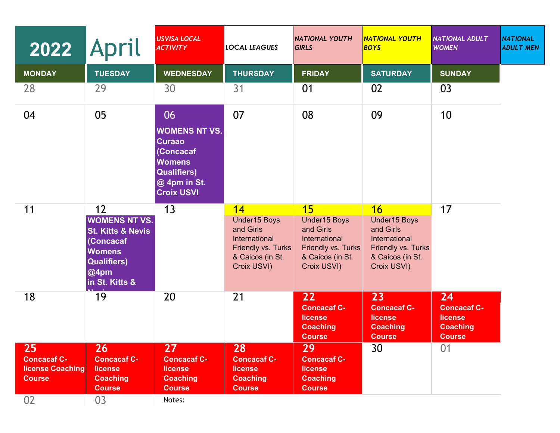| 2022                                                                 | <b>April</b>                                                                                                                             | <b>USVISA LOCAL</b><br><b>ACTIVITY</b>                                                                                               | <b>LOCAL LEAGUES</b>                                                                                      | <b>NATIONAL YOUTH</b><br><b>GIRLS</b>                                                                     | <b>NATIONAL YOUTH</b><br><b>BOYS</b>                                                                      | <b>NATIONAL ADULT</b><br><b>WOMEN</b>                                   | <b>NATIONAL</b><br><b>ADULT MEN</b> |
|----------------------------------------------------------------------|------------------------------------------------------------------------------------------------------------------------------------------|--------------------------------------------------------------------------------------------------------------------------------------|-----------------------------------------------------------------------------------------------------------|-----------------------------------------------------------------------------------------------------------|-----------------------------------------------------------------------------------------------------------|-------------------------------------------------------------------------|-------------------------------------|
| <b>MONDAY</b>                                                        | <b>TUESDAY</b>                                                                                                                           | <b>WEDNESDAY</b>                                                                                                                     | <b>THURSDAY</b>                                                                                           | <b>FRIDAY</b>                                                                                             | <b>SATURDAY</b>                                                                                           | <b>SUNDAY</b>                                                           |                                     |
| 28                                                                   | 29                                                                                                                                       | 30                                                                                                                                   | 31                                                                                                        | 01                                                                                                        | 02                                                                                                        | 03                                                                      |                                     |
| 04                                                                   | 05                                                                                                                                       | 06<br><b>WOMENS NT VS.</b><br><b>Curaao</b><br>(Concacaf<br><b>Womens</b><br><b>Qualifiers)</b><br>@ 4pm in St.<br><b>Croix USVI</b> | 07                                                                                                        | 08                                                                                                        | 09                                                                                                        | 10                                                                      |                                     |
| 11                                                                   | 12<br><b>WOMENS NT VS.</b><br><b>St. Kitts &amp; Nevis</b><br>(Concacaf<br><b>Womens</b><br><b>Qualifiers)</b><br>@4pm<br>in St. Kitts & | 13                                                                                                                                   | 14<br>Under15 Boys<br>and Girls<br>International<br>Friendly vs. Turks<br>& Caicos (in St.<br>Croix USVI) | 15<br>Under15 Boys<br>and Girls<br>International<br>Friendly vs. Turks<br>& Caicos (in St.<br>Croix USVI) | 16<br>Under15 Boys<br>and Girls<br>International<br>Friendly vs. Turks<br>& Caicos (in St.<br>Croix USVI) | 17                                                                      |                                     |
| 18                                                                   | 19                                                                                                                                       | 20                                                                                                                                   | 21                                                                                                        | 22<br><b>Concacaf C-</b><br>license<br><b>Coaching</b><br><b>Course</b>                                   | 23<br><b>Concacaf C-</b><br>license<br><b>Coaching</b><br><b>Course</b>                                   | 24<br><b>Concacaf C-</b><br>license<br><b>Coaching</b><br><b>Course</b> |                                     |
| 25<br><b>Concacaf C-</b><br><b>license Coaching</b><br><b>Course</b> | 26<br><b>Concacaf C-</b><br>license<br><b>Coaching</b><br><b>Course</b>                                                                  | 27<br><b>Concacaf C-</b><br><b>license</b><br><b>Coaching</b><br><b>Course</b>                                                       | 28<br><b>Concacaf C-</b><br>license<br><b>Coaching</b><br><b>Course</b>                                   | 29<br><b>Concacaf C-</b><br>license<br><b>Coaching</b><br><b>Course</b>                                   | 30                                                                                                        | 01                                                                      |                                     |
| 02                                                                   | 03                                                                                                                                       | Notes:                                                                                                                               |                                                                                                           |                                                                                                           |                                                                                                           |                                                                         |                                     |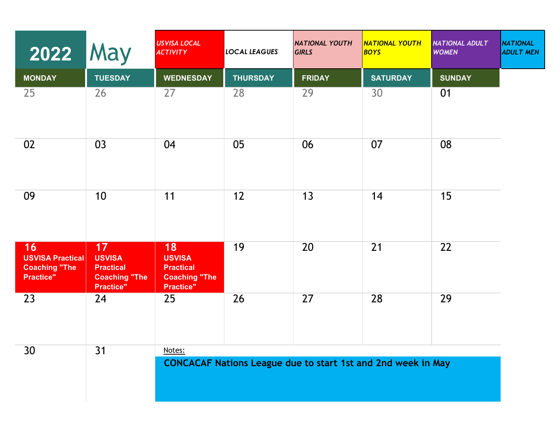| <b>2022 May</b>                                                           |                                                                                     | <b>USVISA LOCAL</b><br><b>ACTIVITY</b>                                       | <b>LOCAL LEAGUES</b> | <b>NATIONAL YOUTH</b><br><b>GIRLS</b>                               | <b>NATIONAL YOUTH</b><br>BOYS | <b>NATIONAL ADULT</b><br><b>WOMEN</b> | <b>NATIONAL</b><br><b>ADULT MEN</b> |
|---------------------------------------------------------------------------|-------------------------------------------------------------------------------------|------------------------------------------------------------------------------|----------------------|---------------------------------------------------------------------|-------------------------------|---------------------------------------|-------------------------------------|
| <b>MONDAY</b>                                                             | <b>TUESDAY</b>                                                                      | <b>WEDNESDAY</b>                                                             | <b>THURSDAY</b>      | <b>FRIDAY</b>                                                       | <b>SATURDAY</b>               | <b>SUNDAY</b>                         |                                     |
| 25                                                                        | 26                                                                                  | 27                                                                           | 28                   | 29                                                                  | 30                            | 01                                    |                                     |
| 02                                                                        | 03                                                                                  | 04                                                                           | 05                   | 06                                                                  | 07                            | 08                                    |                                     |
| 09                                                                        | 10                                                                                  | 11                                                                           | 12                   | 13                                                                  | 14                            | 15                                    |                                     |
| 16<br><b>USVISA Practical</b><br><b>Coaching "The</b><br><b>Practice"</b> | 17<br><b>USVISA</b><br><b>Practical</b><br><b>Coaching "The</b><br><b>Practice"</b> | 18<br><b>USVISA</b><br><b>Practical</b><br><b>Coaching "The</b><br>Practice" | 19                   | 20                                                                  | 21                            | 22                                    |                                     |
| 23                                                                        | 24                                                                                  | 25                                                                           | 26                   | 27                                                                  | 28                            | 29                                    |                                     |
| 30                                                                        | 31                                                                                  | Notes:                                                                       |                      | <b>CONCACAF Nations League due to start 1st and 2nd week in May</b> |                               |                                       |                                     |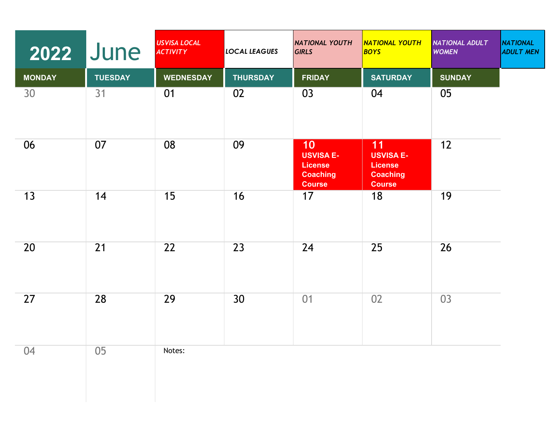| 2022          | <b>June</b>    | <b>USVISA LOCAL</b><br><b>ACTIVITY</b> | <b>LOCAL LEAGUES</b> | <b>NATIONAL YOUTH</b><br><b>GIRLS</b>                                        | <b>NATIONAL YOUTH</b><br>BOYS                                                | NATIONAL ADULT<br><b>WOMEN</b> | <b>NATIONAL</b><br><b>ADULT MEN</b> |
|---------------|----------------|----------------------------------------|----------------------|------------------------------------------------------------------------------|------------------------------------------------------------------------------|--------------------------------|-------------------------------------|
| <b>MONDAY</b> | <b>TUESDAY</b> | <b>WEDNESDAY</b>                       | <b>THURSDAY</b>      | <b>FRIDAY</b>                                                                | <b>SATURDAY</b>                                                              | <b>SUNDAY</b>                  |                                     |
| 30            | 31             | 01                                     | 02                   | 03                                                                           | 04                                                                           | 05                             |                                     |
| 06            | 07             | 08                                     | 09                   | 10<br><b>USVISA E-</b><br><b>License</b><br><b>Coaching</b><br><b>Course</b> | 11<br><b>USVISA E-</b><br><b>License</b><br><b>Coaching</b><br><b>Course</b> | 12                             |                                     |
| 13            | 14             | 15                                     | 16                   | 17                                                                           | 18                                                                           | 19                             |                                     |
| 20            | 21             | 22                                     | 23                   | 24                                                                           | 25                                                                           | 26                             |                                     |
| 27            | 28             | 29                                     | 30                   | 01                                                                           | 02                                                                           | 03                             |                                     |
| 04            | 05             | Notes:                                 |                      |                                                                              |                                                                              |                                |                                     |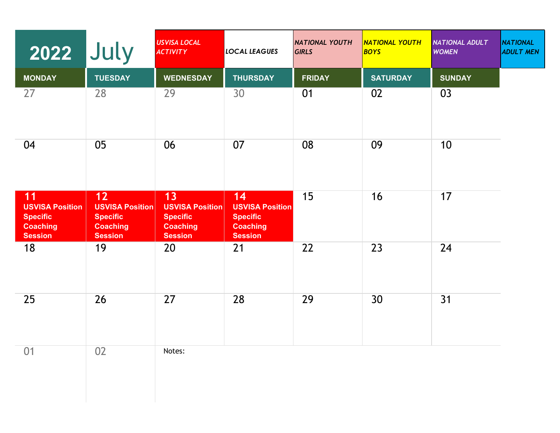| 2022                                                                                 | July                                                                                   | <b>USVISA LOCAL</b><br><b>ACTIVITY</b>                                               | <b>LOCAL LEAGUES</b>                                                                 | <b>NATIONAL YOUTH</b><br><b>GIRLS</b> | <mark>NATIONAL YOUTH</mark><br>BOYS | <b>NATIONAL ADULT</b><br><b>WOMEN</b> | <b>NATIONAL</b><br><b>ADULT MEN</b> |
|--------------------------------------------------------------------------------------|----------------------------------------------------------------------------------------|--------------------------------------------------------------------------------------|--------------------------------------------------------------------------------------|---------------------------------------|-------------------------------------|---------------------------------------|-------------------------------------|
| <b>MONDAY</b>                                                                        | <b>TUESDAY</b>                                                                         | <b>WEDNESDAY</b>                                                                     | <b>THURSDAY</b>                                                                      | <b>FRIDAY</b>                         | <b>SATURDAY</b>                     | <b>SUNDAY</b>                         |                                     |
| 27                                                                                   | 28                                                                                     | 29                                                                                   | 30                                                                                   | 01                                    | 02                                  | 03                                    |                                     |
| 04                                                                                   | 05                                                                                     | 06                                                                                   | 07                                                                                   | 08                                    | 09                                  | 10                                    |                                     |
| 11<br><b>USVISA Position</b><br><b>Specific</b><br><b>Coaching</b><br><b>Session</b> | $12$<br><b>USVISA Position</b><br><b>Specific</b><br><b>Coaching</b><br><b>Session</b> | 13<br><b>USVISA Position</b><br><b>Specific</b><br><b>Coaching</b><br><b>Session</b> | 14<br><b>USVISA Position</b><br><b>Specific</b><br><b>Coaching</b><br><b>Session</b> | 15                                    | 16                                  | 17                                    |                                     |
| 18                                                                                   | 19                                                                                     | 20                                                                                   | 21                                                                                   | 22                                    | 23                                  | 24                                    |                                     |
| 25                                                                                   | 26                                                                                     | 27                                                                                   | 28                                                                                   | 29                                    | 30                                  | 31                                    |                                     |
| 01                                                                                   | 02                                                                                     | Notes:                                                                               |                                                                                      |                                       |                                     |                                       |                                     |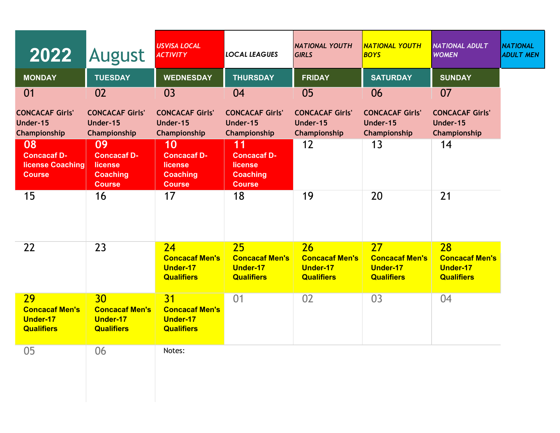| 2022                                                                       | August                                                                  | <b>USVISA LOCAL</b><br><b>ACTIVITY</b>                                  | LOCAL LEAGUES                                                           | <b>NATIONAL YOUTH</b><br><b>GIRLS</b>                               | <b>NATIONAL YOUTH</b><br><b>BOYS</b>                                | <b>NATIONAL ADULT</b><br><b>WOMEN</b>                               | <b>NATIONAL</b><br><b>ADULT MEN</b> |
|----------------------------------------------------------------------------|-------------------------------------------------------------------------|-------------------------------------------------------------------------|-------------------------------------------------------------------------|---------------------------------------------------------------------|---------------------------------------------------------------------|---------------------------------------------------------------------|-------------------------------------|
| <b>MONDAY</b>                                                              | <b>TUESDAY</b>                                                          | <b>WEDNESDAY</b>                                                        | <b>THURSDAY</b>                                                         | <b>FRIDAY</b>                                                       | <b>SATURDAY</b>                                                     | <b>SUNDAY</b>                                                       |                                     |
| 01                                                                         | 02                                                                      | 03                                                                      | 04                                                                      | 05                                                                  | 06                                                                  | 07                                                                  |                                     |
| <b>CONCACAF Girls'</b><br>Under-15<br>Championship                         | <b>CONCACAF Girls'</b><br>Under-15<br>Championship                      | <b>CONCACAF Girls'</b><br>Under-15<br>Championship                      | <b>CONCACAF Girls'</b><br>Under-15<br>Championship                      | <b>CONCACAF Girls'</b><br>Under-15<br>Championship                  | <b>CONCACAF Girls'</b><br>Under-15<br>Championship                  | <b>CONCACAF Girls'</b><br>Under-15<br>Championship                  |                                     |
| 08<br><b>Concacaf D-</b><br>license Coaching<br><b>Course</b>              | 09<br><b>Concacaf D-</b><br>license<br><b>Coaching</b><br><b>Course</b> | 10<br><b>Concacaf D-</b><br>license<br><b>Coaching</b><br><b>Course</b> | 11<br><b>Concacaf D-</b><br>license<br><b>Coaching</b><br><b>Course</b> | 12                                                                  | 13                                                                  | 14                                                                  |                                     |
| 15                                                                         | 16                                                                      | 17                                                                      | 18                                                                      | 19                                                                  | 20                                                                  | 21                                                                  |                                     |
| 22                                                                         | 23                                                                      | 24<br><b>Concacaf Men's</b><br><b>Under-17</b><br><b>Qualifiers</b>     | 25<br><b>Concacaf Men's</b><br><b>Under-17</b><br><b>Qualifiers</b>     | 26<br><b>Concacaf Men's</b><br><b>Under-17</b><br><b>Qualifiers</b> | 27<br><b>Concacaf Men's</b><br><b>Under-17</b><br><b>Qualifiers</b> | 28<br><b>Concacaf Men's</b><br><b>Under-17</b><br><b>Qualifiers</b> |                                     |
| <b>29</b><br><b>Concacaf Men's</b><br><b>Under-17</b><br><b>Qualifiers</b> | 30<br><b>Concacaf Men's</b><br><b>Under-17</b><br><b>Qualifiers</b>     | 31<br><b>Concacaf Men's</b><br><b>Under-17</b><br><b>Qualifiers</b>     | 01                                                                      | 02                                                                  | 03                                                                  | 04                                                                  |                                     |
| 05                                                                         | 06                                                                      | Notes:                                                                  |                                                                         |                                                                     |                                                                     |                                                                     |                                     |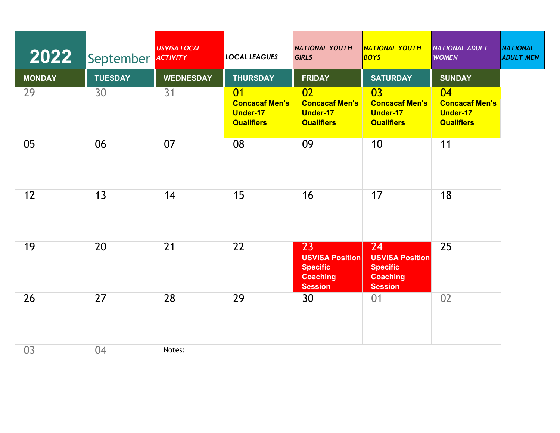| 2022          | September ACTIVITY | <b>USVISA LOCAL</b> | <b>LOCAL LEAGUES</b>                                                | <b>NATIONAL YOUTH</b><br><b>GIRLS</b>                                                | <b>NATIONAL YOUTH</b><br>BOYS                                                        | <b>NATIONAL ADULT</b><br><b>WOMEN</b>                               | <b>NATIONAL</b><br><b>ADULT MEN</b> |
|---------------|--------------------|---------------------|---------------------------------------------------------------------|--------------------------------------------------------------------------------------|--------------------------------------------------------------------------------------|---------------------------------------------------------------------|-------------------------------------|
| <b>MONDAY</b> | <b>TUESDAY</b>     | <b>WEDNESDAY</b>    | <b>THURSDAY</b>                                                     | <b>FRIDAY</b>                                                                        | <b>SATURDAY</b>                                                                      | <b>SUNDAY</b>                                                       |                                     |
| 29            | 30                 | 31                  | 01<br><b>Concacaf Men's</b><br><b>Under-17</b><br><b>Qualifiers</b> | 02<br><b>Concacaf Men's</b><br><b>Under-17</b><br><b>Qualifiers</b>                  | 03<br><b>Concacaf Men's</b><br><b>Under-17</b><br><b>Qualifiers</b>                  | 04<br><b>Concacaf Men's</b><br><b>Under-17</b><br><b>Qualifiers</b> |                                     |
| 05            | 06                 | 07                  | 08                                                                  | 09                                                                                   | 10                                                                                   | 11                                                                  |                                     |
| 12            | 13                 | 14                  | 15                                                                  | 16                                                                                   | 17                                                                                   | 18                                                                  |                                     |
| 19            | 20                 | 21                  | 22                                                                  | 23<br><b>USVISA Position</b><br><b>Specific</b><br><b>Coaching</b><br><b>Session</b> | 24<br><b>USVISA Position</b><br><b>Specific</b><br><b>Coaching</b><br><b>Session</b> | 25                                                                  |                                     |
| 26            | 27                 | 28                  | 29                                                                  | 30                                                                                   | 01                                                                                   | 02                                                                  |                                     |
| 03            | 04                 | Notes:              |                                                                     |                                                                                      |                                                                                      |                                                                     |                                     |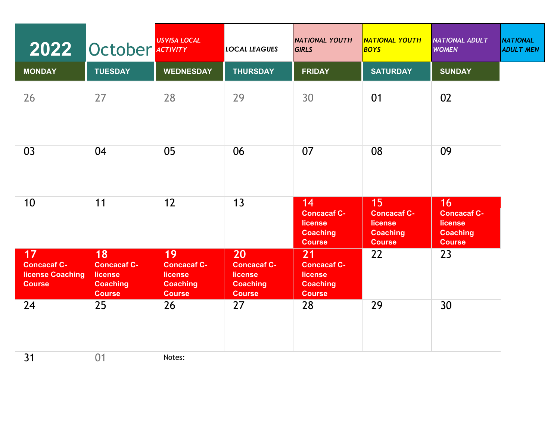|                                                                      | 2022 October ACTIVITY                                                   | <b>USVISA LOCAL</b>                                                            | <b>LOCAL LEAGUES</b>                                                    | <b>NATIONAL YOUTH</b><br><b>GIRLS</b>                                          | <b>NATIONAL YOUTH</b><br><b>BOYS</b>                                    | <b>NATIONAL ADULT</b><br><b>WOMEN</b>                                   | <b>NATIONAL</b><br><b>ADULT MEN</b> |
|----------------------------------------------------------------------|-------------------------------------------------------------------------|--------------------------------------------------------------------------------|-------------------------------------------------------------------------|--------------------------------------------------------------------------------|-------------------------------------------------------------------------|-------------------------------------------------------------------------|-------------------------------------|
| <b>MONDAY</b>                                                        | <b>TUESDAY</b>                                                          | <b>WEDNESDAY</b>                                                               | <b>THURSDAY</b>                                                         | <b>FRIDAY</b>                                                                  | <b>SATURDAY</b>                                                         | <b>SUNDAY</b>                                                           |                                     |
| 26                                                                   | 27                                                                      | 28                                                                             | 29                                                                      | 30                                                                             | 01                                                                      | 02                                                                      |                                     |
| 03                                                                   | 04                                                                      | 05                                                                             | 06                                                                      | 07                                                                             | 08                                                                      | 09                                                                      |                                     |
| 10                                                                   | 11                                                                      | 12                                                                             | 13                                                                      | 14<br><b>Concacaf C-</b><br><b>license</b><br><b>Coaching</b><br><b>Course</b> | 15<br><b>Concacaf C-</b><br>license<br><b>Coaching</b><br><b>Course</b> | 16<br><b>Concacaf C-</b><br>license<br><b>Coaching</b><br><b>Course</b> |                                     |
| 17<br><b>Concacaf C-</b><br><b>license Coaching</b><br><b>Course</b> | 18<br><b>Concacaf C-</b><br>license<br><b>Coaching</b><br><b>Course</b> | 19<br><b>Concacaf C-</b><br><b>license</b><br><b>Coaching</b><br><b>Course</b> | 20<br><b>Concacaf C-</b><br>license<br><b>Coaching</b><br><b>Course</b> | 21<br><b>Concacaf C-</b><br><b>license</b><br><b>Coaching</b><br><b>Course</b> | 22                                                                      | 23                                                                      |                                     |
| 24                                                                   | 25                                                                      | 26                                                                             | 27                                                                      | 28                                                                             | 29                                                                      | 30                                                                      |                                     |
| 31                                                                   | 01                                                                      | Notes:                                                                         |                                                                         |                                                                                |                                                                         |                                                                         |                                     |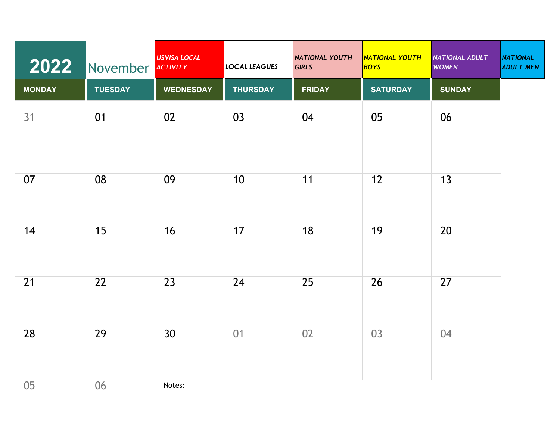| 2022          | November ACTIVITY | <b>USVISA LOCAL</b> | <b>LOCAL LEAGUES</b> | <b>NATIONAL YOUTH</b><br><b>GIRLS</b> | <b>NATIONAL YOUTH</b><br><b>BOYS</b> | NATIONAL ADULT<br><b>WOMEN</b> | <b>NATIONAL</b><br><b>ADULT MEN</b> |
|---------------|-------------------|---------------------|----------------------|---------------------------------------|--------------------------------------|--------------------------------|-------------------------------------|
| <b>MONDAY</b> | <b>TUESDAY</b>    | <b>WEDNESDAY</b>    | <b>THURSDAY</b>      | <b>FRIDAY</b>                         | <b>SATURDAY</b>                      | <b>SUNDAY</b>                  |                                     |
| 31            | 01                | 02                  | 03                   | 04                                    | 05                                   | 06                             |                                     |
| 07            | 08                | 09                  | 10                   | 11                                    | 12                                   | 13                             |                                     |
| 14            | 15                | 16                  | 17                   | 18                                    | 19                                   | 20                             |                                     |
| 21            | 22                | 23                  | 24                   | 25                                    | 26                                   | 27                             |                                     |
| 28            | 29                | 30 <sup>°</sup>     | 01                   | 02                                    | 03                                   | 04                             |                                     |
| 05            | 06                | Notes:              |                      |                                       |                                      |                                |                                     |